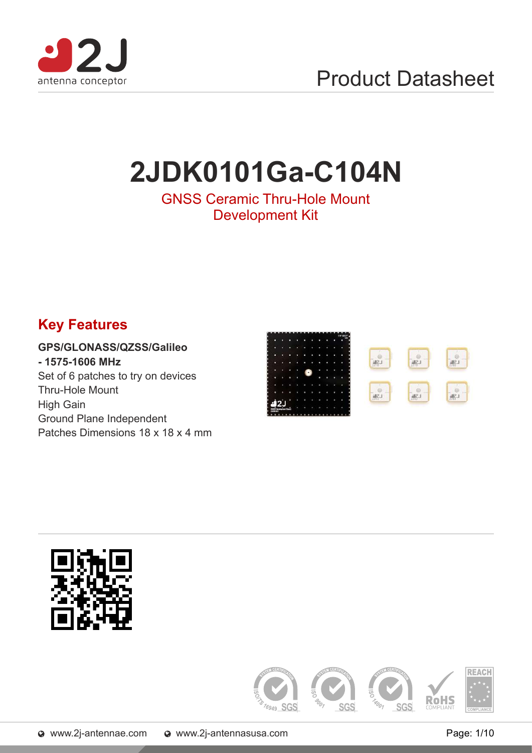

# **2JDK0101Ga-C104N**

### GNSS Ceramic Thru-Hole Mount Development Kit

# **Key Features**

GPS/GLONASS/QZSS/Galileo - 1575-1606 MHz Set of 6 patches to try on devices Thru-Hole Mount High Gain Ground Plane Independent Patches Dimensions 18 x 18 x 4 mm





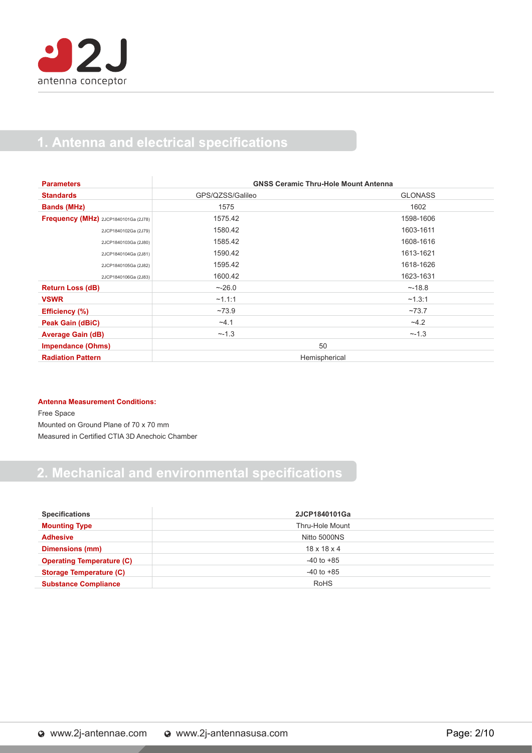## 1. Antenna and electrical specifications

| <b>Parameters</b>                    | <b>GNSS Ceramic Thru-Hole Mount Antenna</b> |                |
|--------------------------------------|---------------------------------------------|----------------|
| <b>Standards</b>                     | GPS/QZSS/Galileo                            | <b>GLONASS</b> |
| <b>Bands (MHz)</b>                   | 1575                                        | 1602           |
| Frequency (MHz) 2JCP1840101Ga (2J78) | 1575.42                                     | 1598-1606      |
| 2JCP1840102Ga (2J79)                 | 1580.42                                     | 1603-1611      |
| 2JCP1840103Ga (2J80)                 | 1585.42                                     | 1608-1616      |
| 2JCP1840104Ga (2J81)                 | 1590.42                                     | 1613-1621      |
| 2JCP1840105Ga (2J82)                 | 1595.42                                     | 1618-1626      |
| 2JCP1840106Ga (2J83)                 | 1600.42                                     | 1623-1631      |
| <b>Return Loss (dB)</b>              | ~26.0                                       | ~18.8          |
| <b>VSWR</b>                          | ~1.1:1                                      | ~1.3:1         |
| <b>Efficiency</b> (%)                | ~173.9                                      | ~273.7         |
| Peak Gain (dBiC)                     | $-4.1$                                      | $-4.2$         |
| <b>Average Gain (dB)</b>             | ~1.3                                        | ~1.3           |
| <b>Impendance (Ohms)</b>             | 50                                          |                |
| <b>Radiation Pattern</b>             | Hemispherical                               |                |

#### **Antenna Measurement Conditions:**

Free Space Mounted on Ground Plane of 70 x 70 mm Measured in Certified CTIA 3D Anechoic Chamber

# **2. Mechanical and environmental specifications**

| <b>Specifications</b>            | 2JCP1840101Ga           |  |
|----------------------------------|-------------------------|--|
| <b>Mounting Type</b>             | Thru-Hole Mount         |  |
| <b>Adhesive</b>                  | Nitto 5000NS            |  |
| <b>Dimensions (mm)</b>           | $18 \times 18 \times 4$ |  |
| <b>Operating Temperature (C)</b> | $-40$ to $+85$          |  |
| <b>Storage Temperature (C)</b>   | $-40$ to $+85$          |  |
| <b>Substance Compliance</b>      | <b>RoHS</b>             |  |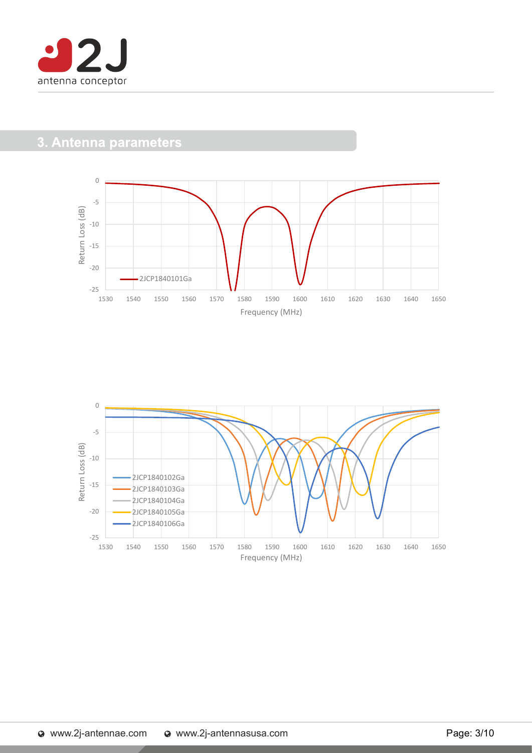

## 3. Antenna parameters



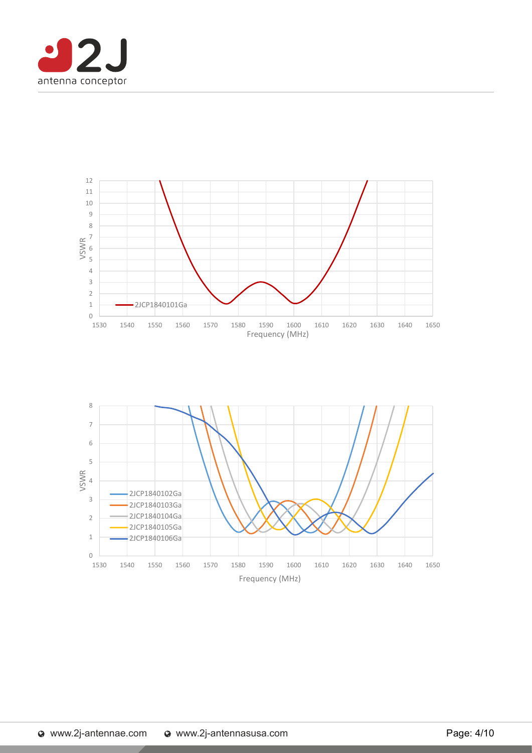

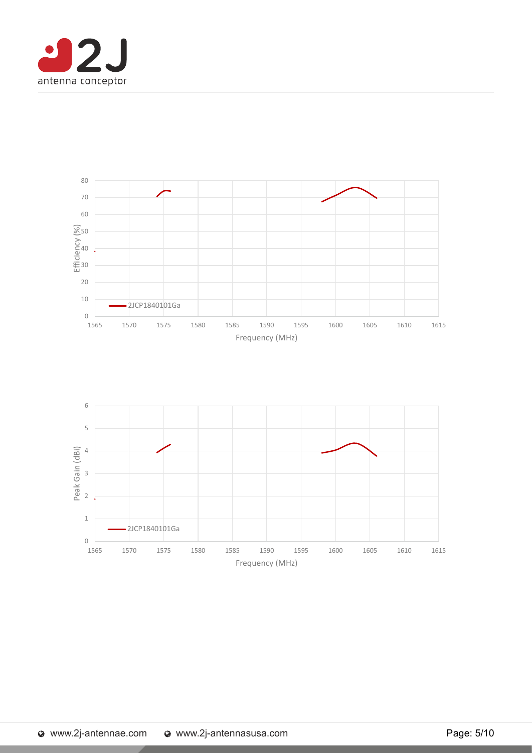

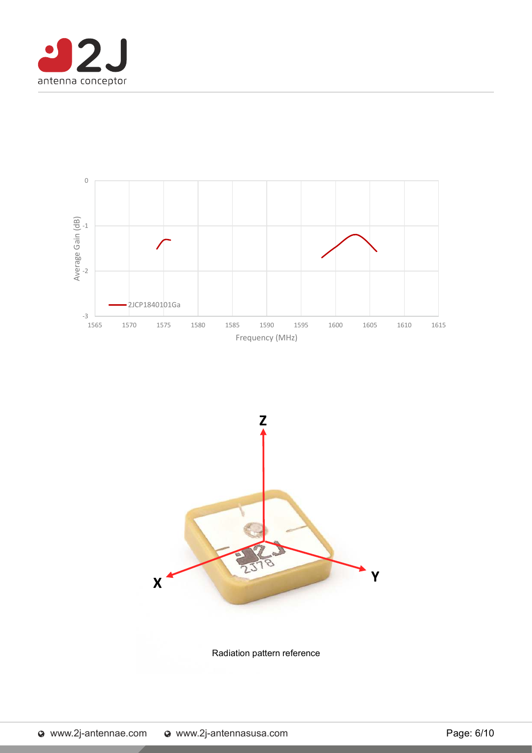





Radiation pattern reference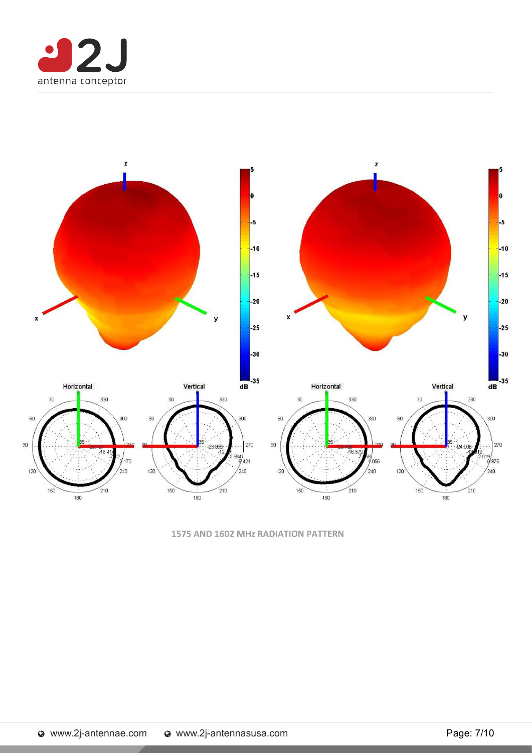



1575 AND 1602 MHz RADIATION PATTERN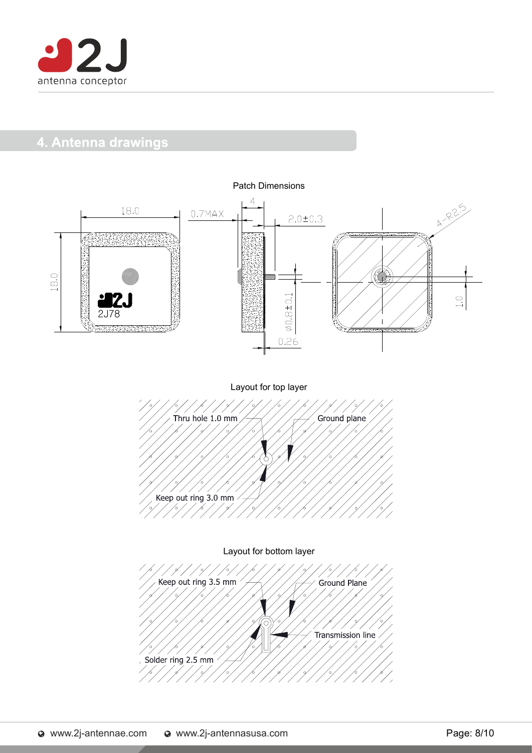

### 4. Antenna drawings

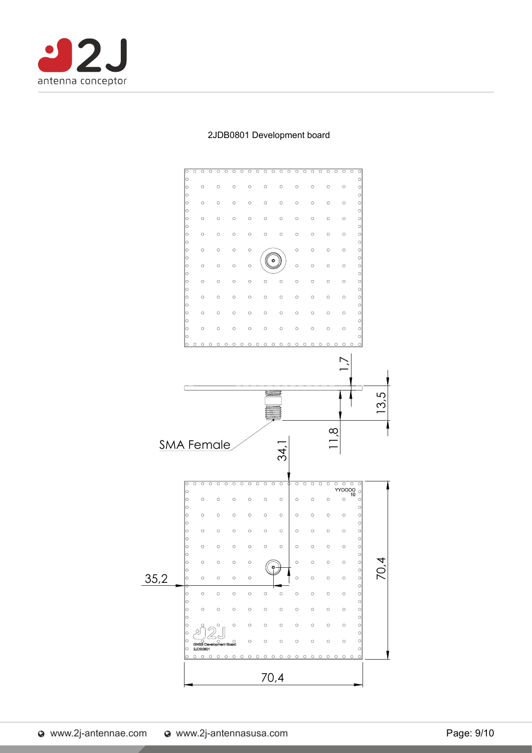



#### 2JDB0801 Development board